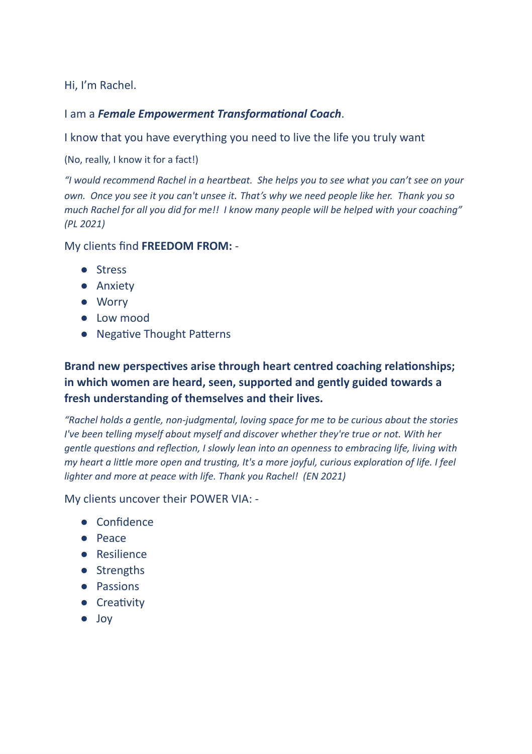Hi, I'm Rachel.

I am a *Female Empowerment Transformational Coach*.

I know that you have everything you need to live the life you truly want

(No, really, I know it for a fact!)

*"I would recommend Rachel in a heartbeat. She helps you to see what you can't see on your* own. Once you see it you can't unsee it. That's why we need people like her. Thank you so *much Rachel for all you did for me!! I know many people will be helped with your coaching" (PL 2021)*

My clients find **FREEDOM FROM:** -

- Stress
- Anxiety
- Worry
- Low mood
- Negative Thought Patterns

## **Brand new perspectives arise through heart centred coaching relationships; in which women are heard, seen, supported and gently guided towards a fresh understanding of themselves and their lives.**

*"Rachel holds a gentle, non-judgmental, loving space for me to be curious about the stories I've been telling myself about myself and discover whether they're true or not. With her gentle questions and reflection, I slowly lean into an openness to embracing life, living with my heart a little more open and trusting, It's a more joyful, curious exploration of life. I feel lighter and more at peace with life. Thank you Rachel! (EN 2021)*

My clients uncover their POWER VIA: -

- Confidence
- Peace
- Resilience
- Strengths
- Passions
- Creativity
- Joy